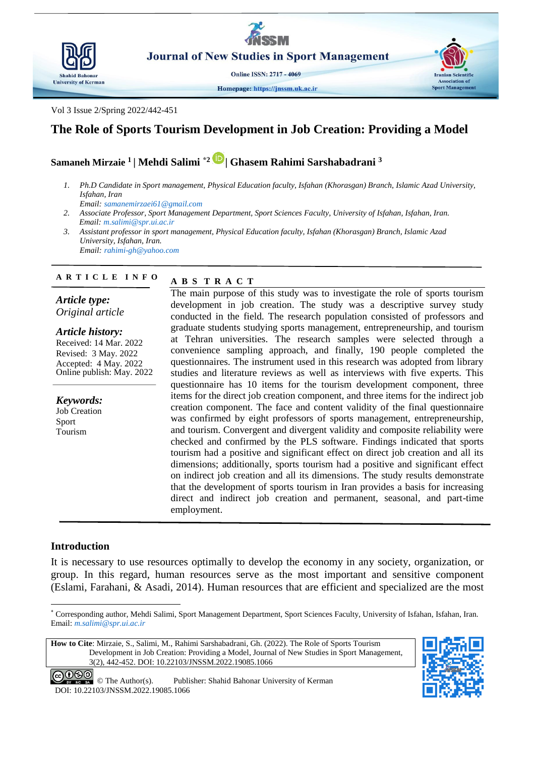

**Journal of New Studies in Sport Management** 

**Online ISSN: 2717 - 4069** 

Homepage: https://jnssm.uk.ac.ir



# **The Role of Sports Tourism Development in Job Creation: Providing a Model**

# **Samaneh Mirzaie <sup>1</sup> | Mehdi Salimi \*2 | Ghasem Rahimi Sarshabadrani <sup>3</sup>**

- *1. Ph.D Candidate in Sport management, Physical Education faculty, Isfahan (Khorasgan) Branch, Islamic Azad University, Isfahan, Iran Email: samanemirzaei61@gmail.com*
- *2. Associate Professor, Sport Management Department, Sport Sciences Faculty, University of Isfahan, Isfahan, Iran. Email: m.salimi@spr.ui.ac.ir*
- *3. Assistant professor in sport management, Physical Education faculty, Isfahan (Khorasgan) Branch, Islamic Azad University, Isfahan, Iran. Email: rahimi-gh@yahoo.com*

## **A R T I C L E I N F O**

*Article type: Original article*

*Article history:* Received: 14 Mar. 2022 Revised: 3 May. 2022 Accepted: 4 May. 2022 Online publish: May. 2022

*Keywords:* Job Creation Sport Tourism

# **A B S T R A C T**

The main purpose of this study was to investigate the role of sports tourism development in job creation. The study was a descriptive survey study conducted in the field. The research population consisted of professors and graduate students studying sports management, entrepreneurship, and tourism at Tehran universities. The research samples were selected through a convenience sampling approach, and finally, 190 people completed the questionnaires. The instrument used in this research was adopted from library studies and literature reviews as well as interviews with five experts. This questionnaire has 10 items for the tourism development component, three items for the direct job creation component, and three items for the indirect job creation component. The face and content validity of the final questionnaire was confirmed by eight professors of sports management, entrepreneurship, and tourism. Convergent and divergent validity and composite reliability were checked and confirmed by the PLS software. Findings indicated that sports tourism had a positive and significant effect on direct job creation and all its dimensions; additionally, sports tourism had a positive and significant effect on indirect job creation and all its dimensions. The study results demonstrate that the development of sports tourism in Iran provides a basis for increasing direct and indirect job creation and permanent, seasonal, and part-time employment.

### **Introduction**

-

It is necessary to use resources optimally to develop the economy in any society, organization, or group. In this regard, human resources serve as the most important and sensitive component [\(Eslami, Farahani, & Asadi, 2014\)](#page-8-0). Human resources that are efficient and specialized are the most

**How to Cite**: Mirzaie, S., Salimi, M., Rahimi Sarshabadrani, Gh. (2022). The Role of Sports Tourism Development in Job Creation: Providing a Model, Journal of New Studies in Sport Management, 3(2), 442-452. DOI: 10.22103/JNSSM.2022.19085.1066



**Iranian Scientific** 

**Sport Management** 

<sup>\*</sup> Corresponding author, Mehdi Salimi, Sport Management Department, Sport Sciences Faculty, University of Isfahan*,* Isfahan*,* Iran*.*  Email: *m.salimi@spr.ui.ac.ir*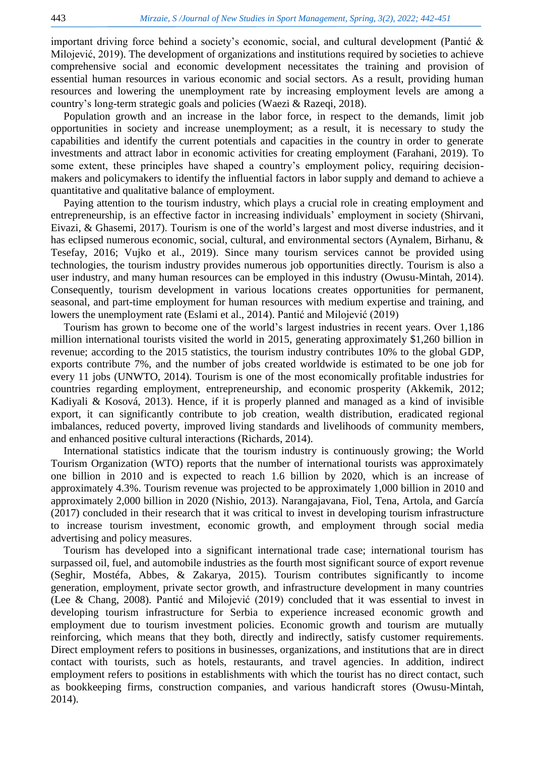important driving force behind a society's economic, social, and cultural development [\(Pantić &](#page-9-0)  [Milojević, 2019\)](#page-9-0). The development of organizations and institutions required by societies to achieve comprehensive social and economic development necessitates the training and provision of essential human resources in various economic and social sectors. As a result, providing human resources and lowering the unemployment rate by increasing employment levels are among a country's long-term strategic goals and policies [\(Waezi & Razeqi, 2018\)](#page-9-1).

Population growth and an increase in the labor force, in respect to the demands, limit job opportunities in society and increase unemployment; as a result, it is necessary to study the capabilities and identify the current potentials and capacities in the country in order to generate investments and attract labor in economic activities for creating employment [\(Farahani, 2019\)](#page-8-1). To some extent, these principles have shaped a country's employment policy, requiring decisionmakers and policymakers to identify the influential factors in labor supply and demand to achieve a quantitative and qualitative balance of employment.

Paying attention to the tourism industry, which plays a crucial role in creating employment and entrepreneurship, is an effective factor in increasing individuals' employment in society [\(Shirvani,](#page-9-2)  [Eivazi, & Ghasemi, 2017\)](#page-9-2). Tourism is one of the world's largest and most diverse industries, and it has eclipsed numerous economic, social, cultural, and environmental sectors (Aynalem, Birhanu, & [Tesefay, 2016;](#page-8-2) [Vujko et al., 2019\)](#page-9-3). Since many tourism services cannot be provided using technologies, the tourism industry provides numerous job opportunities directly. Tourism is also a user industry, and many human resources can be employed in this industry [\(Owusu-Mintah, 2014\)](#page-9-4). Consequently, tourism development in various locations creates opportunities for permanent, seasonal, and part-time employment for human resources with medium expertise and training, and lowers the unemployment rate [\(Eslami et al., 2014\)](#page-8-0). [Pantić and Milojević \(2019\)](#page-9-0)

Tourism has grown to become one of the world's largest industries in recent years. Over 1,186 million international tourists visited the world in 2015, generating approximately \$1,260 billion in revenue; according to the 2015 statistics, the tourism industry contributes 10% to the global GDP, exports contribute 7%, and the number of jobs created worldwide is estimated to be one job for every 11 jobs [\(UNWTO, 2014\)](#page-9-5). Tourism is one of the most economically profitable industries for countries regarding employment, entrepreneurship, and economic prosperity [\(Akkemik, 2012;](#page-8-3) [Kadiyali & Kosová, 2013\)](#page-9-6). Hence, if it is properly planned and managed as a kind of invisible export, it can significantly contribute to job creation, wealth distribution, eradicated regional imbalances, reduced poverty, improved living standards and livelihoods of community members, and enhanced positive cultural interactions [\(Richards, 2014\)](#page-9-7).

International statistics indicate that the tourism industry is continuously growing; the World Tourism Organization (WTO) reports that the number of international tourists was approximately one billion in 2010 and is expected to reach 1.6 billion by 2020, which is an increase of approximately 4.3%. Tourism revenue was projected to be approximately 1,000 billion in 2010 and approximately 2,000 billion in 2020 [\(Nishio, 2013\)](#page-9-8). [Narangajavana, Fiol, Tena, Artola, and García](#page-9-9)  (2017) concluded in their research that it was critical to invest in developing tourism infrastructure to increase tourism investment, economic growth, and employment through social media advertising and policy measures.

Tourism has developed into a significant international trade case; international tourism has surpassed oil, fuel, and automobile industries as the fourth most significant source of export revenue [\(Seghir, Mostéfa, Abbes,](#page-9-10) & Zakarya, 2015). Tourism contributes significantly to income generation, employment, private sector growth, and infrastructure development in many countries [\(Lee & Chang, 2008\)](#page-9-11). [Pantić and Milojević \(2019\)](#page-9-0) concluded that it was essential to invest in developing tourism infrastructure for Serbia to experience increased economic growth and employment due to tourism investment policies. Economic growth and tourism are mutually reinforcing, which means that they both, directly and indirectly, satisfy customer requirements. Direct employment refers to positions in businesses, organizations, and institutions that are in direct contact with tourists, such as hotels, restaurants, and travel agencies. In addition, indirect employment refers to positions in establishments with which the tourist has no direct contact, such as bookkeeping firms, construction companies, and various handicraft stores [\(Owusu-Mintah,](#page-9-4)  [2014\)](#page-9-4).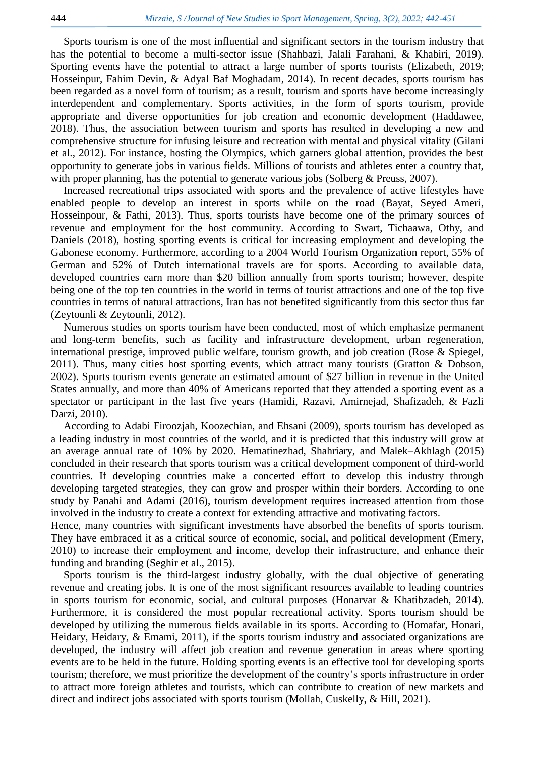Sports tourism is one of the most influential and significant sectors in the tourism industry that has the potential to become a multi-sector issue [\(Shahbazi, Jalali Farahani, & Khabiri, 2019\)](#page-9-12). Sporting events have the potential to attract a large number of sports tourists [\(Elizabeth, 2019;](#page-8-4) [Hosseinpur, Fahim Devin, & Adyal Baf Moghadam, 2014\)](#page-9-13). In recent decades, sports tourism has been regarded as a novel form of tourism; as a result, tourism and sports have become increasingly interdependent and complementary. Sports activities, in the form of sports tourism, provide appropriate and diverse opportunities for job creation and economic development [\(Haddawee,](#page-8-5)  [2018\)](#page-8-5). Thus, the association between tourism and sports has resulted in developing a new and comprehensive structure for infusing leisure and recreation with mental and physical vitality [\(Gilani](#page-8-6)  [et al., 2012\)](#page-8-6). For instance, hosting the Olympics, which garners global attention, provides the best opportunity to generate jobs in various fields. Millions of tourists and athletes enter a country that, with proper planning, has the potential to generate various jobs (Solberg  $\&$  Preuss, 2007).

Increased recreational trips associated with sports and the prevalence of active lifestyles have enabled people to develop an interest in sports while on the road [\(Bayat, Seyed Ameri,](#page-8-7)  [Hosseinpour, & Fathi, 2013\)](#page-8-7). Thus, sports tourists have become one of the primary sources of revenue and employment for the host community. According to [Swart, Tichaawa, Othy, and](#page-9-15)  Daniels (2018), hosting sporting events is critical for increasing employment and developing the Gabonese economy. Furthermore, according to a 2004 World Tourism Organization report, 55% of German and 52% of Dutch international travels are for sports. According to available data, developed countries earn more than \$20 billion annually from sports tourism; however, despite being one of the top ten countries in the world in terms of tourist attractions and one of the top five countries in terms of natural attractions, Iran has not benefited significantly from this sector thus far [\(Zeytounli & Zeytounli, 2012\)](#page-9-16).

Numerous studies on sports tourism have been conducted, most of which emphasize permanent and long-term benefits, such as facility and infrastructure development, urban regeneration, international prestige, improved public welfare, tourism growth, and job creation [\(Rose & Spiegel,](#page-9-17)  [2011\)](#page-9-17). Thus, many cities host sporting events, which attract many tourists (Gratton  $&$  Dobson, [2002\)](#page-8-8). Sports tourism events generate an estimated amount of \$27 billion in revenue in the United States annually, and more than 40% of Americans reported that they attended a sporting event as a spectator or participant in the last five years [\(Hamidi, Razavi, Amirnejad, Shafizadeh, & Fazli](#page-8-9)  [Darzi, 2010\)](#page-8-9).

According to [Adabi Firoozjah, Koozechian, and Ehsani \(2009\),](#page-8-10) sports tourism has developed as a leading industry in most countries of the world, and it is predicted that this industry will grow at an average annual rate of 10% by 2020. [Hematinezhad, Shahriary, and Malek–Akhlagh \(2015\)](#page-8-11) concluded in their research that sports tourism was a critical development component of third-world countries. If developing countries make a concerted effort to develop this industry through developing targeted strategies, they can grow and prosper within their borders. According to one study by [Panahi and Adami \(2016\),](#page-9-18) tourism development requires increased attention from those involved in the industry to create a context for extending attractive and motivating factors.

Hence, many countries with significant investments have absorbed the benefits of sports tourism. They have embraced it as a critical source of economic, social, and political development [\(Emery,](#page-8-12)  [2010\)](#page-8-12) to increase their employment and income, develop their infrastructure, and enhance their funding and branding [\(Seghir et al., 2015\)](#page-9-10).

Sports tourism is the third-largest industry globally, with the dual objective of generating revenue and creating jobs. It is one of the most significant resources available to leading countries in sports tourism for economic, social, and cultural purposes (Honarvar  $\&$  Khatibzadeh, 2014). Furthermore, it is considered the most popular recreational activity. Sports tourism should be developed by utilizing the numerous fields available in its sports. According to [\(Homafar, Honari,](#page-9-20)  [Heidary, Heidary, & Emami, 2011\)](#page-9-20), if the sports tourism industry and associated organizations are developed, the industry will affect job creation and revenue generation in areas where sporting events are to be held in the future. Holding sporting events is an effective tool for developing sports tourism; therefore, we must prioritize the development of the country's sports infrastructure in order to attract more foreign athletes and tourists, which can contribute to creation of new markets and direct and indirect jobs associated with sports tourism [\(Mollah, Cuskelly, & Hill, 2021\)](#page-9-21).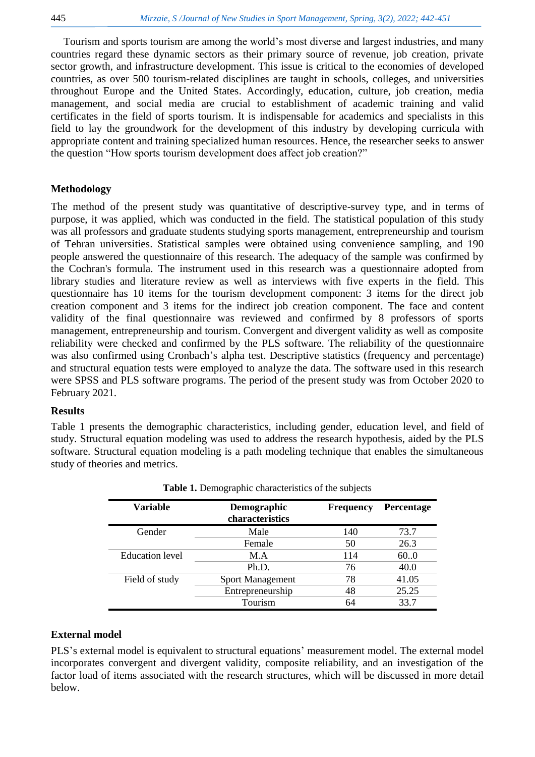Tourism and sports tourism are among the world's most diverse and largest industries, and many countries regard these dynamic sectors as their primary source of revenue, job creation, private sector growth, and infrastructure development. This issue is critical to the economies of developed countries, as over 500 tourism-related disciplines are taught in schools, colleges, and universities throughout Europe and the United States. Accordingly, education, culture, job creation, media management, and social media are crucial to establishment of academic training and valid certificates in the field of sports tourism. It is indispensable for academics and specialists in this field to lay the groundwork for the development of this industry by developing curricula with appropriate content and training specialized human resources. Hence, the researcher seeks to answer the question "How sports tourism development does affect job creation?"

## **Methodology**

The method of the present study was quantitative of descriptive-survey type, and in terms of purpose, it was applied, which was conducted in the field. The statistical population of this study was all professors and graduate students studying sports management, entrepreneurship and tourism of Tehran universities. Statistical samples were obtained using convenience sampling, and 190 people answered the questionnaire of this research. The adequacy of the sample was confirmed by the Cochran's formula. The instrument used in this research was a questionnaire adopted from library studies and literature review as well as interviews with five experts in the field. This questionnaire has 10 items for the tourism development component: 3 items for the direct job creation component and 3 items for the indirect job creation component. The face and content validity of the final questionnaire was reviewed and confirmed by 8 professors of sports management, entrepreneurship and tourism. Convergent and divergent validity as well as composite reliability were checked and confirmed by the PLS software. The reliability of the questionnaire was also confirmed using Cronbach's alpha test. Descriptive statistics (frequency and percentage) and structural equation tests were employed to analyze the data. The software used in this research were SPSS and PLS software programs. The period of the present study was from October 2020 to February 2021.

## **Results**

Table 1 presents the demographic characteristics, including gender, education level, and field of study. Structural equation modeling was used to address the research hypothesis, aided by the PLS software. Structural equation modeling is a path modeling technique that enables the simultaneous study of theories and metrics.

| <b>Variable</b> | Demographic<br>characteristics | <b>Frequency</b> | Percentage |
|-----------------|--------------------------------|------------------|------------|
| Gender          | Male                           | 140              | 73.7       |
|                 | Female                         | 50               | 26.3       |
| Education level | M.A                            | 114              | 60.0       |
|                 | Ph.D.                          | 76               | 40.0       |
| Field of study  | <b>Sport Management</b>        | 78               | 41.05      |
|                 | Entrepreneurship               | 48               | 25.25      |
|                 | Tourism                        | 64               | 33.7       |

**Table 1.** Demographic characteristics of the subjects

## **External model**

PLS's external model is equivalent to structural equations' measurement model. The external model incorporates convergent and divergent validity, composite reliability, and an investigation of the factor load of items associated with the research structures, which will be discussed in more detail below.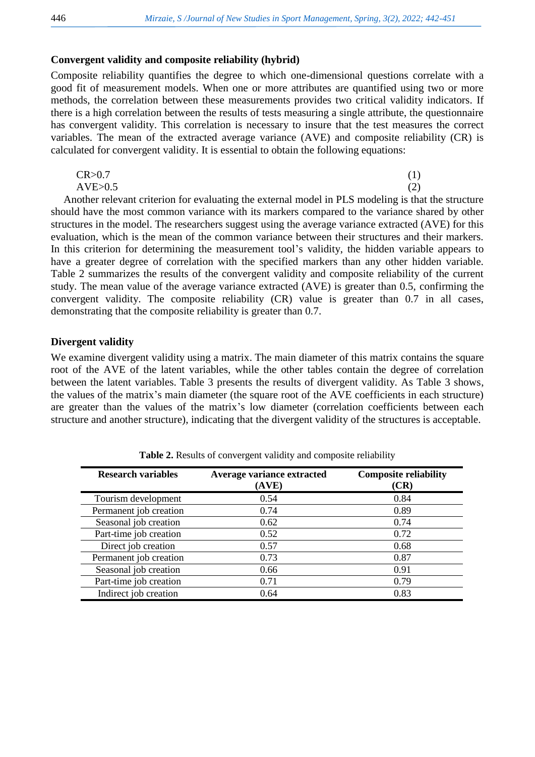#### **Convergent validity and composite reliability (hybrid)**

Composite reliability quantifies the degree to which one-dimensional questions correlate with a good fit of measurement models. When one or more attributes are quantified using two or more methods, the correlation between these measurements provides two critical validity indicators. If there is a high correlation between the results of tests measuring a single attribute, the questionnaire has convergent validity. This correlation is necessary to insure that the test measures the correct variables. The mean of the extracted average variance (AVE) and composite reliability (CR) is calculated for convergent validity. It is essential to obtain the following equations:

$$
CR>0.7
$$
  
AVE>0.5 (1)

Another relevant criterion for evaluating the external model in PLS modeling is that the structure should have the most common variance with its markers compared to the variance shared by other structures in the model. The researchers suggest using the average variance extracted (AVE) for this evaluation, which is the mean of the common variance between their structures and their markers. In this criterion for determining the measurement tool's validity, the hidden variable appears to have a greater degree of correlation with the specified markers than any other hidden variable. Table 2 summarizes the results of the convergent validity and composite reliability of the current study. The mean value of the average variance extracted (AVE) is greater than 0.5, confirming the convergent validity. The composite reliability (CR) value is greater than 0.7 in all cases, demonstrating that the composite reliability is greater than 0.7.

#### **Divergent validity**

We examine divergent validity using a matrix. The main diameter of this matrix contains the square root of the AVE of the latent variables, while the other tables contain the degree of correlation between the latent variables. Table 3 presents the results of divergent validity. As Table 3 shows, the values of the matrix's main diameter (the square root of the AVE coefficients in each structure) are greater than the values of the matrix's low diameter (correlation coefficients between each structure and another structure), indicating that the divergent validity of the structures is acceptable.

| <b>Research variables</b> | Average variance extracted<br>(AVE) | <b>Composite reliability</b><br>(CR) |
|---------------------------|-------------------------------------|--------------------------------------|
| Tourism development       | 0.54                                | 0.84                                 |
| Permanent job creation    | 0.74                                | 0.89                                 |
| Seasonal job creation     | 0.62                                | 0.74                                 |
| Part-time job creation    | 0.52                                | 0.72                                 |
| Direct job creation       | 0.57                                | 0.68                                 |
| Permanent job creation    | 0.73                                | 0.87                                 |
| Seasonal job creation     | 0.66                                | 0.91                                 |
| Part-time job creation    | 0.71                                | 0.79                                 |
| Indirect job creation     | 0.64                                | 0.83                                 |

**Table 2.** Results of convergent validity and composite reliability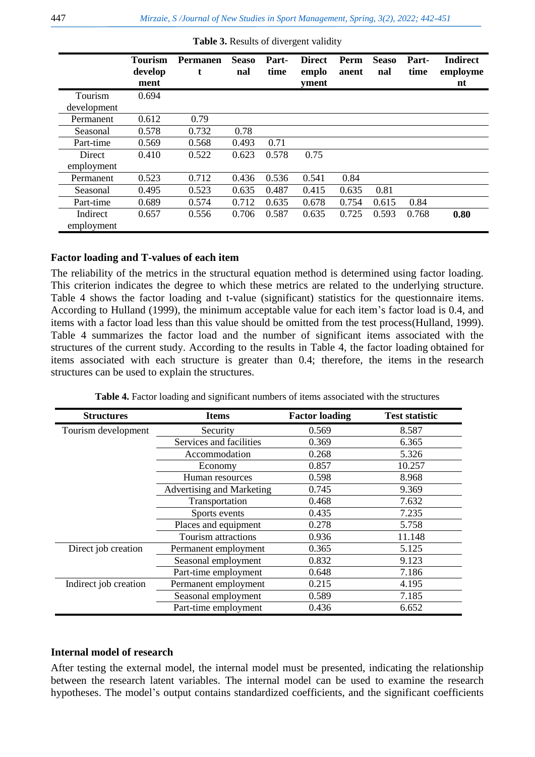|                        | <b>Tourism</b><br>develop<br>ment | <b>Permanen</b><br>t | <b>Seaso</b><br>nal | Part-<br>time | <b>Direct</b><br>emplo<br><b>vment</b> | Perm<br>anent | <b>Seaso</b><br>nal | Part-<br>time | <b>Indirect</b><br>employme<br>nt |
|------------------------|-----------------------------------|----------------------|---------------------|---------------|----------------------------------------|---------------|---------------------|---------------|-----------------------------------|
| Tourism                | 0.694                             |                      |                     |               |                                        |               |                     |               |                                   |
| development            |                                   |                      |                     |               |                                        |               |                     |               |                                   |
| Permanent              | 0.612                             | 0.79                 |                     |               |                                        |               |                     |               |                                   |
| Seasonal               | 0.578                             | 0.732                | 0.78                |               |                                        |               |                     |               |                                   |
| Part-time              | 0.569                             | 0.568                | 0.493               | 0.71          |                                        |               |                     |               |                                   |
| Direct                 | 0.410                             | 0.522                | 0.623               | 0.578         | 0.75                                   |               |                     |               |                                   |
| employment             |                                   |                      |                     |               |                                        |               |                     |               |                                   |
| Permanent              | 0.523                             | 0.712                | 0.436               | 0.536         | 0.541                                  | 0.84          |                     |               |                                   |
| Seasonal               | 0.495                             | 0.523                | 0.635               | 0.487         | 0.415                                  | 0.635         | 0.81                |               |                                   |
| Part-time              | 0.689                             | 0.574                | 0.712               | 0.635         | 0.678                                  | 0.754         | 0.615               | 0.84          |                                   |
| Indirect<br>employment | 0.657                             | 0.556                | 0.706               | 0.587         | 0.635                                  | 0.725         | 0.593               | 0.768         | 0.80                              |

**Table 3.** Results of divergent validity

#### **Factor loading and T-values of each item**

The reliability of the metrics in the structural equation method is determined using factor loading. This criterion indicates the degree to which these metrics are related to the underlying structure. Table 4 shows the factor loading and t-value (significant) statistics for the questionnaire items. According to Hulland (1999), the minimum acceptable value for each item's factor load is 0.4, and items with a factor load less than this value should be omitted from the test process[\(Hulland, 1999\)](#page-9-22). Table 4 summarizes the factor load and the number of significant items associated with the structures of the current study. According to the results in Table 4, the factor loading obtained for items associated with each structure is greater than 0.4; therefore, the items in the research structures can be used to explain the structures.

| <b>Structures</b>     | <b>Items</b>              | <b>Factor loading</b> | <b>Test statistic</b> |
|-----------------------|---------------------------|-----------------------|-----------------------|
| Tourism development   | Security                  | 0.569                 | 8.587                 |
|                       | Services and facilities   | 0.369                 | 6.365                 |
|                       | Accommodation             | 0.268                 | 5.326                 |
|                       | Economy                   | 0.857                 | 10.257                |
|                       | Human resources           | 0.598                 | 8.968                 |
|                       | Advertising and Marketing | 0.745                 | 9.369                 |
|                       | Transportation            | 0.468                 | 7.632                 |
|                       | Sports events             | 0.435                 | 7.235                 |
|                       | Places and equipment      | 0.278                 | 5.758                 |
|                       | Tourism attractions       | 0.936                 | 11.148                |
| Direct job creation   | Permanent employment      | 0.365                 | 5.125                 |
|                       | Seasonal employment       | 0.832                 | 9.123                 |
|                       | Part-time employment      | 0.648                 | 7.186                 |
| Indirect job creation | Permanent employment      | 0.215                 | 4.195                 |
|                       | Seasonal employment       | 0.589                 | 7.185                 |
|                       | Part-time employment      | 0.436                 | 6.652                 |

**Table 4.** Factor loading and significant numbers of items associated with the structures

#### **Internal model of research**

After testing the external model, the internal model must be presented, indicating the relationship between the research latent variables. The internal model can be used to examine the research hypotheses. The model's output contains standardized coefficients, and the significant coefficients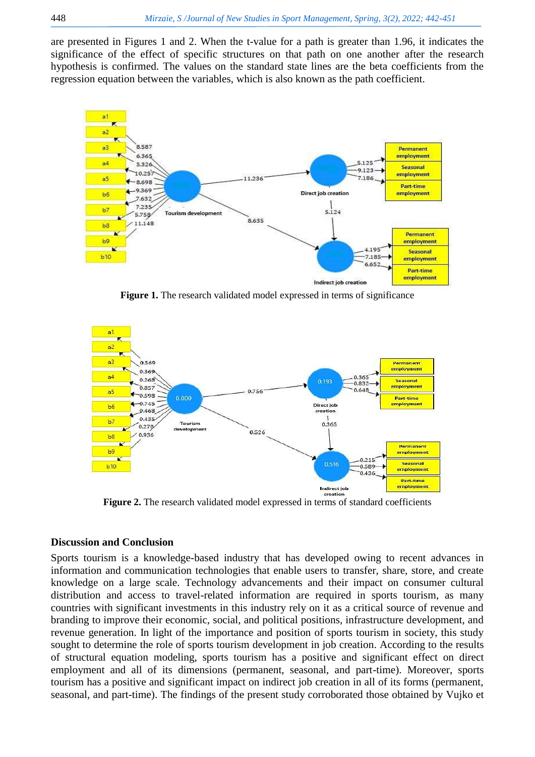are presented in Figures 1 and 2. When the t-value for a path is greater than 1.96, it indicates the significance of the effect of specific structures on that path on one another after the research hypothesis is confirmed. The values on the standard state lines are the beta coefficients from the regression equation between the variables, which is also known as the path coefficient.



**Figure 1.** The research validated model expressed in terms of significance



**Figure 2.** The research validated model expressed in terms of standard coefficients

### **Discussion and Conclusion**

Sports tourism is a knowledge-based industry that has developed owing to recent advances in information and communication technologies that enable users to transfer, share, store, and create knowledge on a large scale. Technology advancements and their impact on consumer cultural distribution and access to travel-related information are required in sports tourism, as many countries with significant investments in this industry rely on it as a critical source of revenue and branding to improve their economic, social, and political positions, infrastructure development, and revenue generation. In light of the importance and position of sports tourism in society, this study sought to determine the role of sports tourism development in job creation. According to the results of structural equation modeling, sports tourism has a positive and significant effect on direct employment and all of its dimensions (permanent, seasonal, and part-time). Moreover, sports tourism has a positive and significant impact on indirect job creation in all of its forms (permanent, seasonal, and part-time). The findings of the present study corroborated those obtained by [Vujko et](#page-9-3)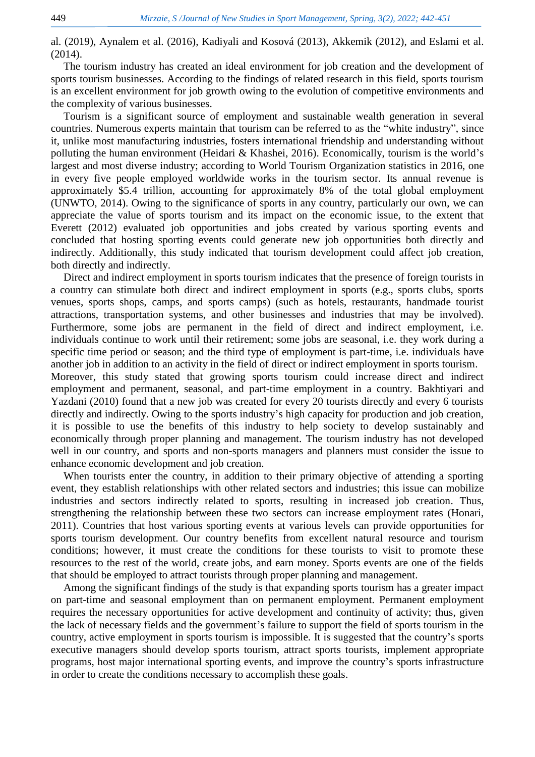al. (2019), [Aynalem et al. \(2016\),](#page-8-2) [Kadiyali and Kosová \(2013\),](#page-9-6) [Akkemik \(2012\),](#page-8-3) and [Eslami et al.](#page-8-0)  (2014).

The tourism industry has created an ideal environment for job creation and the development of sports tourism businesses. According to the findings of related research in this field, sports tourism is an excellent environment for job growth owing to the evolution of competitive environments and the complexity of various businesses.

Tourism is a significant source of employment and sustainable wealth generation in several countries. Numerous experts maintain that tourism can be referred to as the "white industry", since it, unlike most manufacturing industries, fosters international friendship and understanding without polluting the human environment (Heidari  $\&$  Khashei, 2016). Economically, tourism is the world's largest and most diverse industry; according to World Tourism Organization statistics in 2016, one in every five people employed worldwide works in the tourism sector. Its annual revenue is approximately \$5.4 trillion, accounting for approximately 8% of the total global employment [\(UNWTO, 2014\)](#page-9-5). Owing to the significance of sports in any country, particularly our own, we can appreciate the value of sports tourism and its impact on the economic issue, to the extent that [Everett \(2012\)](#page-8-14) evaluated job opportunities and jobs created by various sporting events and concluded that hosting sporting events could generate new job opportunities both directly and indirectly. Additionally, this study indicated that tourism development could affect job creation, both directly and indirectly.

Direct and indirect employment in sports tourism indicates that the presence of foreign tourists in a country can stimulate both direct and indirect employment in sports (e.g., sports clubs, sports venues, sports shops, camps, and sports camps) (such as hotels, restaurants, handmade tourist attractions, transportation systems, and other businesses and industries that may be involved). Furthermore, some jobs are permanent in the field of direct and indirect employment, i.e. individuals continue to work until their retirement; some jobs are seasonal, i.e. they work during a specific time period or season; and the third type of employment is part-time, i.e. individuals have another job in addition to an activity in the field of direct or indirect employment in sports tourism.

Moreover, this study stated that growing sports tourism could increase direct and indirect employment and permanent, seasonal, and part-time employment in a country. [Bakhtiyari and](#page-8-15)  Yazdani (2010) found that a new job was created for every 20 tourists directly and every 6 tourists directly and indirectly. Owing to the sports industry's high capacity for production and job creation, it is possible to use the benefits of this industry to help society to develop sustainably and economically through proper planning and management. The tourism industry has not developed well in our country, and sports and non-sports managers and planners must consider the issue to enhance economic development and job creation.

When tourists enter the country, in addition to their primary objective of attending a sporting event, they establish relationships with other related sectors and industries; this issue can mobilize industries and sectors indirectly related to sports, resulting in increased job creation. Thus, strengthening the relationship between these two sectors can increase employment rates [\(Honari,](#page-9-23)  [2011\)](#page-9-23). Countries that host various sporting events at various levels can provide opportunities for sports tourism development. Our country benefits from excellent natural resource and tourism conditions; however, it must create the conditions for these tourists to visit to promote these resources to the rest of the world, create jobs, and earn money. Sports events are one of the fields that should be employed to attract tourists through proper planning and management.

Among the significant findings of the study is that expanding sports tourism has a greater impact on part-time and seasonal employment than on permanent employment. Permanent employment requires the necessary opportunities for active development and continuity of activity; thus, given the lack of necessary fields and the government's failure to support the field of sports tourism in the country, active employment in sports tourism is impossible. It is suggested that the country's sports executive managers should develop sports tourism, attract sports tourists, implement appropriate programs, host major international sporting events, and improve the country's sports infrastructure in order to create the conditions necessary to accomplish these goals.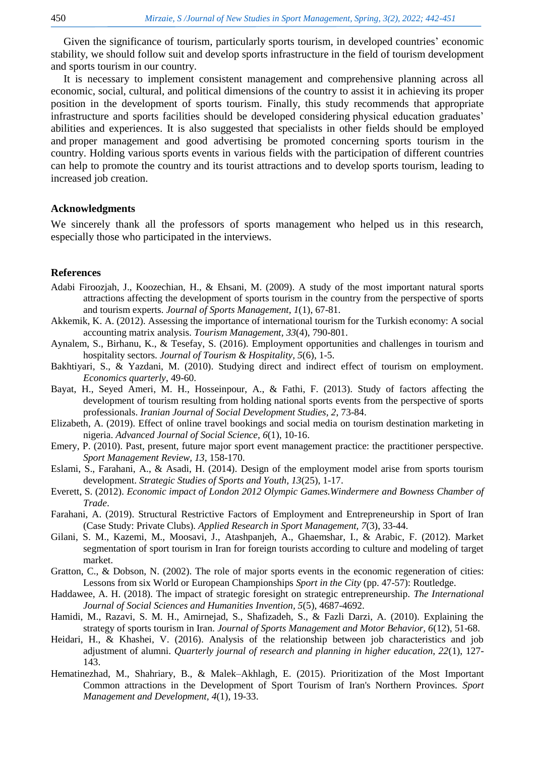Given the significance of tourism, particularly sports tourism, in developed countries' economic stability, we should follow suit and develop sports infrastructure in the field of tourism development and sports tourism in our country.

It is necessary to implement consistent management and comprehensive planning across all economic, social, cultural, and political dimensions of the country to assist it in achieving its proper position in the development of sports tourism. Finally, this study recommends that appropriate infrastructure and sports facilities should be developed considering physical education graduates' abilities and experiences. It is also suggested that specialists in other fields should be employed and proper management and good advertising be promoted concerning sports tourism in the country. Holding various sports events in various fields with the participation of different countries can help to promote the country and its tourist attractions and to develop sports tourism, leading to increased job creation.

## **Acknowledgments**

We sincerely thank all the professors of sports management who helped us in this research, especially those who participated in the interviews.

#### **References**

- <span id="page-8-10"></span>Adabi Firoozjah, J., Koozechian, H., & Ehsani, M. (2009). A study of the most important natural sports attractions affecting the development of sports tourism in the country from the perspective of sports and tourism experts. *Journal of Sports Management, 1*(1), 67-81.
- <span id="page-8-3"></span>Akkemik, K. A. (2012). Assessing the importance of international tourism for the Turkish economy: A social accounting matrix analysis. *Tourism Management, 33*(4), 790-801.
- <span id="page-8-2"></span>Aynalem, S., Birhanu, K., & Tesefay, S. (2016). Employment opportunities and challenges in tourism and hospitality sectors. *Journal of Tourism & Hospitality, 5*(6), 1-5.
- <span id="page-8-15"></span>Bakhtiyari, S., & Yazdani, M. (2010). Studying direct and indirect effect of tourism on employment. *Economics quarterly*, 49-60.
- <span id="page-8-7"></span>Bayat, H., Seyed Ameri, M. H., Hosseinpour, A., & Fathi, F. (2013). Study of factors affecting the development of tourism resulting from holding national sports events from the perspective of sports professionals. *Iranian Journal of Social Development Studies, 2*, 73-84.
- <span id="page-8-4"></span>Elizabeth, A. (2019). Effect of online travel bookings and social media on tourism destination marketing in nigeria. *Advanced Journal of Social Science, 6*(1), 10-16.
- <span id="page-8-12"></span>Emery, P. (2010). Past, present, future major sport event management practice: the practitioner perspective. *Sport Management Review, 13*, 158-170.
- <span id="page-8-0"></span>Eslami, S., Farahani, A., & Asadi, H. (2014). Design of the employment model arise from sports tourism development. *Strategic Studies of Sports and Youth, 13*(25), 1-17.
- <span id="page-8-14"></span>Everett, S. (2012). *Economic impact of London 2012 Olympic Games.Windermere and Bowness Chamber of Trade*.
- <span id="page-8-1"></span>Farahani, A. (2019). Structural Restrictive Factors of Employment and Entrepreneurship in Sport of Iran (Case Study: Private Clubs). *Applied Research in Sport Management, 7*(3), 33-44.
- <span id="page-8-6"></span>Gilani, S. M., Kazemi, M., Moosavi, J., Atashpanjeh, A., Ghaemshar, I., & Arabic, F. (2012). Market segmentation of sport tourism in Iran for foreign tourists according to culture and modeling of target market.
- <span id="page-8-8"></span>Gratton, C., & Dobson, N. (2002). The role of major sports events in the economic regeneration of cities: Lessons from six World or European Championships *Sport in the City* (pp. 47-57): Routledge.
- <span id="page-8-5"></span>Haddawee, A. H. (2018). The impact of strategic foresight on strategic entrepreneurship. *The International Journal of Social Sciences and Humanities Invention, 5*(5), 4687-4692.
- <span id="page-8-9"></span>Hamidi, M., Razavi, S. M. H., Amirnejad, S., Shafizadeh, S., & Fazli Darzi, A. (2010). Explaining the strategy of sports tourism in Iran. *Journal of Sports Management and Motor Behavior, 6*(12), 51-68.
- <span id="page-8-13"></span>Heidari, H., & Khashei, V. (2016). Analysis of the relationship between job characteristics and job adjustment of alumni. *Quarterly journal of research and planning in higher education, 22*(1), 127- 143.
- <span id="page-8-11"></span>Hematinezhad, M., Shahriary, B., & Malek–Akhlagh, E. (2015). Prioritization of the Most Important Common attractions in the Development of Sport Tourism of Iran's Northern Provinces. *Sport Management and Development, 4*(1), 19-33.